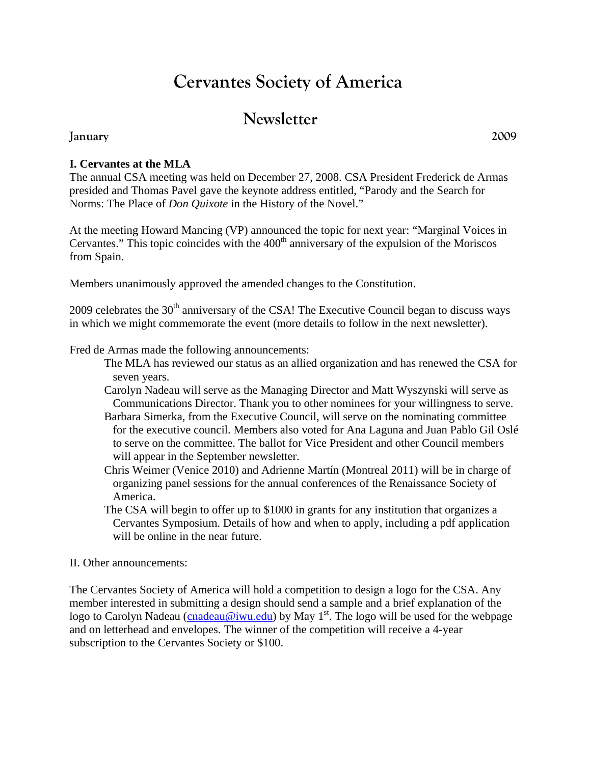# **Cervantes Society of America**

# **Newsletter**

#### **January 2009**

**I. Cervantes at the MLA** 

The annual CSA meeting was held on December 27, 2008. CSA President Frederick de Armas presided and Thomas Pavel gave the keynote address entitled, "Parody and the Search for Norms: The Place of *Don Quixote* in the History of the Novel."

At the meeting Howard Mancing (VP) announced the topic for next year: "Marginal Voices in Cervantes." This topic coincides with the  $400<sup>th</sup>$  anniversary of the expulsion of the Moriscos from Spain.

Members unanimously approved the amended changes to the Constitution.

2009 celebrates the  $30<sup>th</sup>$  anniversary of the CSA! The Executive Council began to discuss ways in which we might commemorate the event (more details to follow in the next newsletter).

Fred de Armas made the following announcements:

- The MLA has reviewed our status as an allied organization and has renewed the CSA for seven years.
- Carolyn Nadeau will serve as the Managing Director and Matt Wyszynski will serve as Communications Director. Thank you to other nominees for your willingness to serve.
- Barbara Simerka, from the Executive Council, will serve on the nominating committee for the executive council. Members also voted for Ana Laguna and Juan Pablo Gil Oslé to serve on the committee. The ballot for Vice President and other Council members will appear in the September newsletter.
- Chris Weimer (Venice 2010) and Adrienne Martín (Montreal 2011) will be in charge of organizing panel sessions for the annual conferences of the Renaissance Society of America.
- The CSA will begin to offer up to \$1000 in grants for any institution that organizes a Cervantes Symposium. Details of how and when to apply, including a pdf application will be online in the near future.

#### II. Other announcements:

The Cervantes Society of America will hold a competition to design a logo for the CSA. Any member interested in submitting a design should send a sample and a brief explanation of the logo to Carolyn Nadeau (cnadeau@iwu.edu) by May 1<sup>st</sup>. The logo will be used for the webpage and on letterhead and envelopes. The winner of the competition will receive a 4-year subscription to the Cervantes Society or \$100.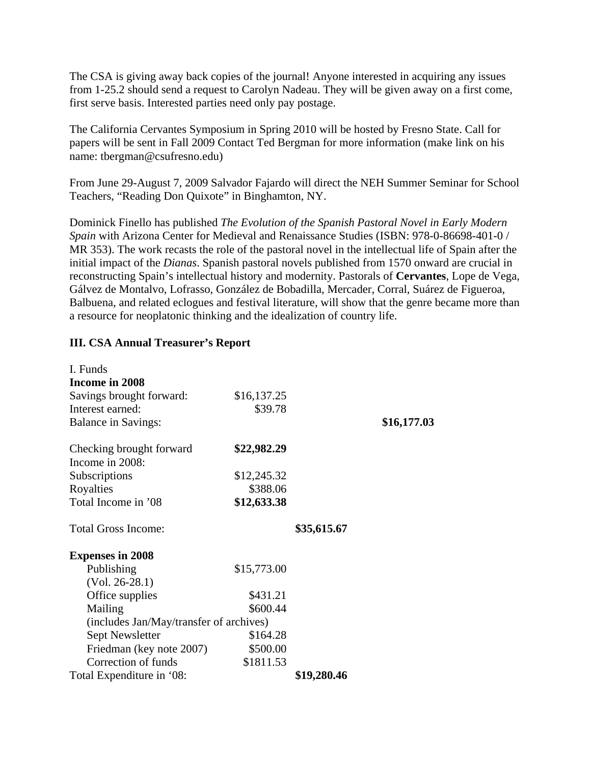The CSA is giving away back copies of the journal! Anyone interested in acquiring any issues from 1-25.2 should send a request to Carolyn Nadeau. They will be given away on a first come, first serve basis. Interested parties need only pay postage.

The California Cervantes Symposium in Spring 2010 will be hosted by Fresno State. Call for papers will be sent in Fall 2009 Contact Ted Bergman for more information (make link on his name: tbergman@csufresno.edu)

From June 29-August 7, 2009 Salvador Fajardo will direct the NEH Summer Seminar for School Teachers, "Reading Don Quixote" in Binghamton, NY.

Dominick Finello has published *The Evolution of the Spanish Pastoral Novel in Early Modern Spain* with Arizona Center for Medieval and Renaissance Studies (ISBN: 978-0-86698-401-0 / MR 353). The work recasts the role of the pastoral novel in the intellectual life of Spain after the initial impact of the *Dianas*. Spanish pastoral novels published from 1570 onward are crucial in reconstructing Spain's intellectual history and modernity. Pastorals of **Cervantes**, Lope de Vega, Gálvez de Montalvo, Lofrasso, González de Bobadilla, Mercader, Corral, Suárez de Figueroa, Balbuena, and related eclogues and festival literature, will show that the genre became more than a resource for neoplatonic thinking and the idealization of country life.

#### **III. CSA Annual Treasurer's Report**

| I. Funds                                |             |             |             |
|-----------------------------------------|-------------|-------------|-------------|
| Income in 2008                          |             |             |             |
| Savings brought forward:                | \$16,137.25 |             |             |
| Interest earned:                        | \$39.78     |             |             |
| <b>Balance in Savings:</b>              |             |             | \$16,177.03 |
| Checking brought forward                | \$22,982.29 |             |             |
| Income in 2008:                         |             |             |             |
| Subscriptions                           | \$12,245.32 |             |             |
| Royalties                               | \$388.06    |             |             |
| Total Income in '08                     | \$12,633.38 |             |             |
| <b>Total Gross Income:</b>              |             | \$35,615.67 |             |
| <b>Expenses in 2008</b>                 |             |             |             |
| Publishing                              | \$15,773.00 |             |             |
| $(Vol. 26-28.1)$                        |             |             |             |
| Office supplies                         | \$431.21    |             |             |
| Mailing                                 | \$600.44    |             |             |
| (includes Jan/May/transfer of archives) |             |             |             |
| Sept Newsletter                         | \$164.28    |             |             |
| Friedman (key note 2007)                | \$500.00    |             |             |
| Correction of funds                     | \$1811.53   |             |             |
| Total Expenditure in '08:               |             | \$19,280.46 |             |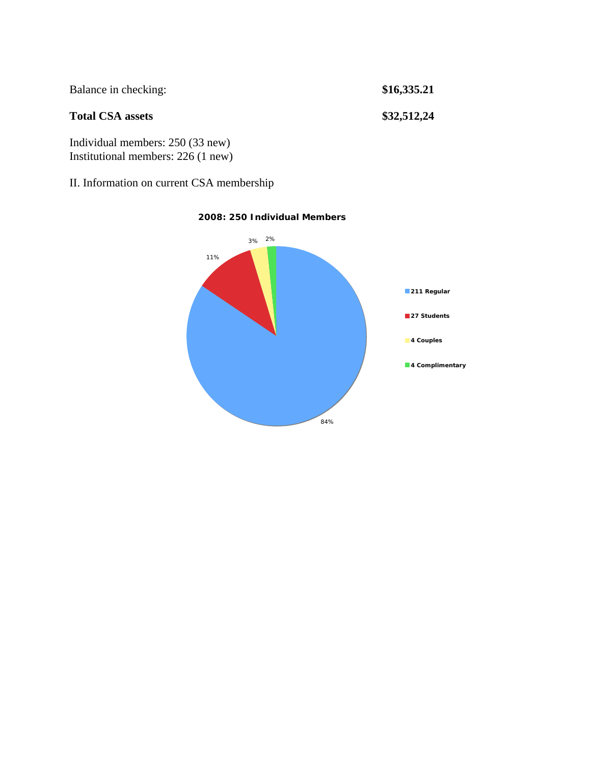| Balance in checking:                                                   | \$16,335.21 |
|------------------------------------------------------------------------|-------------|
| <b>Total CSA assets</b>                                                | \$32,512,24 |
| Individual members: 250 (33 new)<br>Institutional members: 226 (1 new) |             |

II. Information on current CSA membership



#### **2008: 250 Individual Members**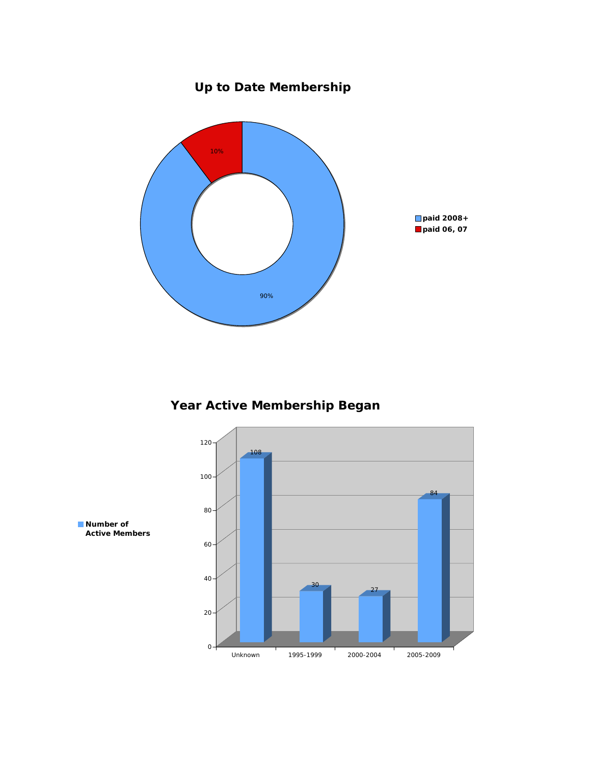# **Up to Date Membership**



### **Year Active Membership Began**

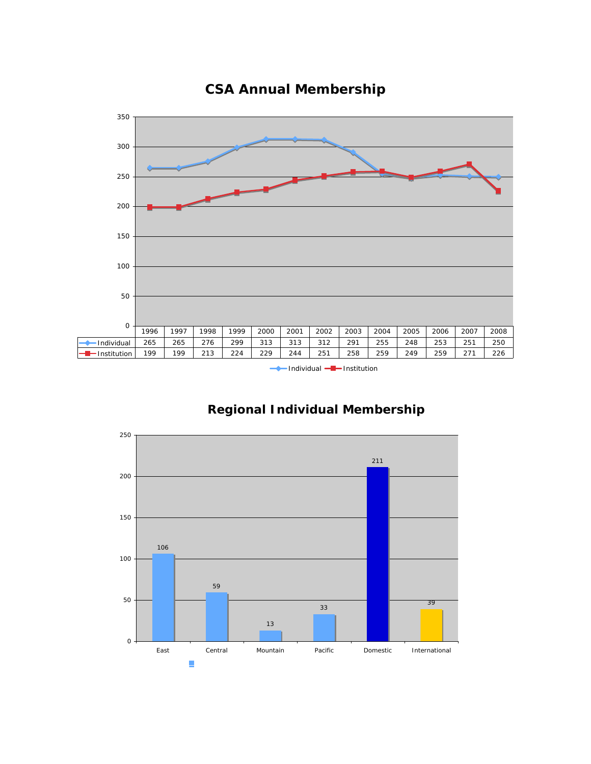

### **CSA Annual Membership**

- Individual -- Institution



#### **Regional Individual Membership**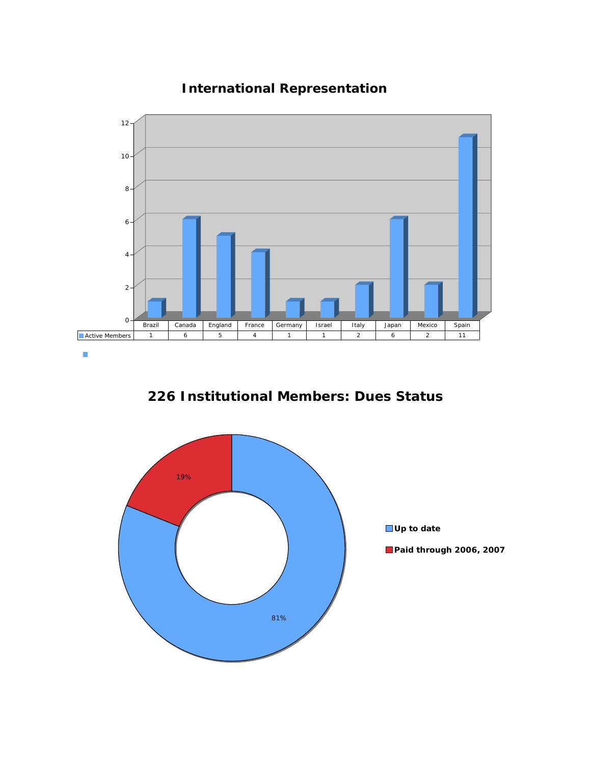### **International Representation**



**226 Institutional Members: Dues Status**